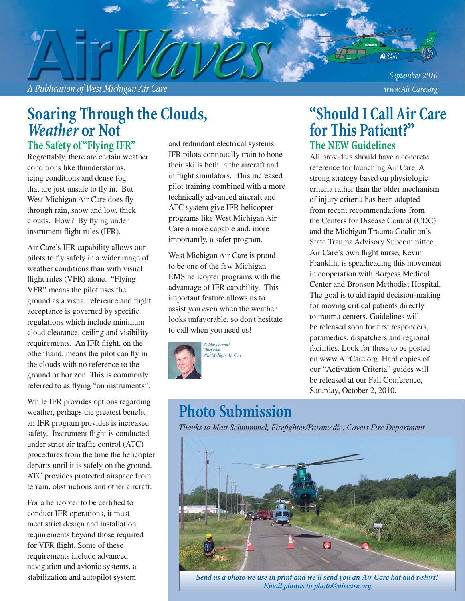*A Publication of West Michigan Air Care www.Air Care.org*

*September 2010*

## **Soaring Through the Clouds,**  *Weather* **or Not**

**The Safety of "Flying IFR"**

Regrettably, there are certain weather conditions like thunderstorms, icing conditions and dense fog that are just unsafe to fly in. But West Michigan Air Care does fly through rain, snow and low, thick clouds. How? By flying under instrument flight rules (IFR).

Air Care's IFR capability allows our pilots to fly safely in a wider range of weather conditions than with visual flight rules (VFR) alone. "Flying VFR" means the pilot uses the ground as a visual reference and flight acceptance is governed by specific regulations which include minimum cloud clearance, ceiling and visibility requirements. An IFR flight, on the other hand, means the pilot can fly in the clouds with no reference to the ground or horizon. This is commonly referred to as flying "on instruments".

While IFR provides options regarding weather, perhaps the greatest benefit an IFR program provides is increased safety. Instrument flight is conducted under strict air traffic control (ATC) procedures from the time the helicopter departs until it is safely on the ground. ATC provides protected airspace from terrain, obstructions and other aircraft.

For a helicopter to be certified to conduct IFR operations, it must meet strict design and installation requirements beyond those required for VFR flight. Some of these requirements include advanced navigation and avionic systems, a stabilization and autopilot system

and redundant electrical systems. IFR pilots continually train to hone their skills both in the aircraft and in flight simulators. This increased pilot training combined with a more technically advanced aircraft and ATC system give IFR helicopter programs like West Michigan Air Care a more capable and, more importantly, a safer program.

West Michigan Air Care is proud to be one of the few Michigan EMS helicopter programs with the advantage of IFR capability. This important feature allows us to assist you even when the weather looks unfavorable, so don't hesitate to call when you need us!



### **The NEW Guidelines "Should I Call Air Care for This Patient?"**

All providers should have a concrete reference for launching Air Care. A strong strategy based on physiologic criteria rather than the older mechanism of injury criteria has been adapted from recent recommendations from the Centers for Disease Control (CDC) and the Michigan Trauma Coalition's State Trauma Advisory Subcommittee. Air Care's own flight nurse, Kevin Franklin, is spearheading this movement in cooperation with Borgess Medical Center and Bronson Methodist Hospital. The goal is to aid rapid decision-making for moving critical patients directly to trauma centers. Guidelines will be released soon for first responders. paramedics, dispatchers and regional facilities. Look for these to be posted on www.AirCare.org. Hard copies of our "Activation Criteria" guides will be released at our Fall Conference, Saturday, October 2, 2010.

## **Photo Submission**

**Thanks to Matt Schmimmel, Firefighter/Paramedic, Covert Fire Department** 



*Send us a photo we use in print and we'll send you an Air Care hat and t-shirt! Email photos to photo@aircare.org*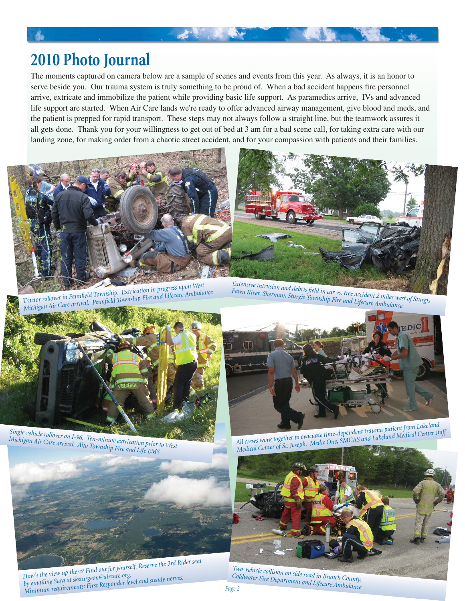## **2010 Photo Journal**

The moments captured on camera below are a sample of scenes and events from this year. As always, it is an honor to serve beside you. Our trauma system is truly something to be proud of. When a bad accident happens fire personnel arrive, extricate and immobilize the patient while providing basic life support. As paramedics arrive, IVs and advanced life support are started. When Air Care lands we're ready to offer advanced airway management, give blood and meds, and the patient is prepped for rapid transport. These steps may not always follow a straight line, but the teamwork assures it all gets done. Thank you for your willingness to get out of bed at 3 am for a bad scene call, for taking extra care with our landing zone, for making order from a chaotic street accident, and for your compassion with patients and their families.

大家 的复数



*Tractor rollover in Pennfield Township. Extrication in progress upon West Michigan Air Care arrival. Pennfield Township Fire and Lifecare Ambulance Michigan Air Care arrival. Pennfield Township Fire and Lifecare Ambulance* 



Extensive intrusion and debris field in car vs. tree accident 2 miles west of Sturgis *Fawn River, Sherman, Sturgis Township Fire and Lifecare Ambulance*



*Single vehicle rollover on I-96. Ten-minute extrication prior to West Michigan Air Care arrival. Alto Township Fire and Life EMS*



*How's the view up there? Find out for yourself. Reserve the 3rd Rider seat by emailing Sara at sksturgeon@aircare.org. Minimum requirements: First Responder level and steady nerves.*



*All crews work together to evacuate time-dependent trauma patient from Lakeland Medical Center of St. Joseph. Medic One, SMCAS and Lakeland Medical Center staff*



*Two-vehicle collision on side road in Branch County. Coldwater Fire Department and Lifecare Ambulance*

*Page 2*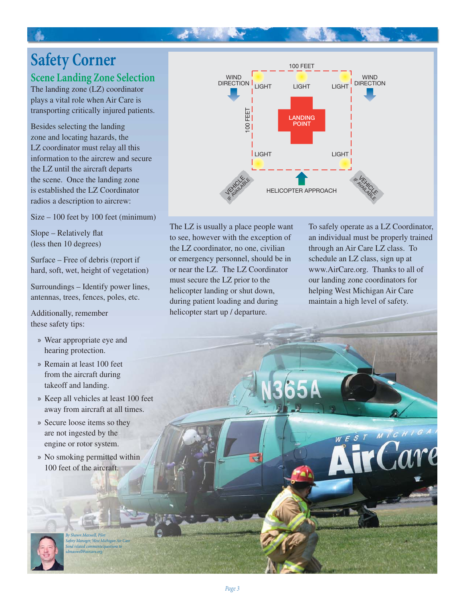# **Safety Corner**

### **Scene Landing Zone Selection**

The landing zone (LZ) coordinator plays a vital role when Air Care is transporting critically injured patients.

Besides selecting the landing zone and locating hazards, the LZ coordinator must relay all this information to the aircrew and secure the LZ until the aircraft departs the scene. Once the landing zone is established the LZ Coordinator radios a description to aircrew:

Size – 100 feet by 100 feet (minimum)

Slope – Relatively flat (less then 10 degrees)

Surface – Free of debris (report if hard, soft, wet, height of vegetation)

Surroundings – Identify power lines, antennas, trees, fences, poles, etc.

Additionally, remember these safety tips:

- Wear appropriate eye and » hearing protection.
- » Remain at least 100 feet from the aircraft during takeoff and landing.
- » Keep all vehicles at least 100 feet away from aircraft at all times.
- » Secure loose items so they are not ingested by the engine or rotor system.
- No smoking permitted within » 100 feet of the aircraft.

*By Shawn Maxwell, Pilot Safety Manager, West Michigan Air Care Send related comments/questions to sdmaxwell@aircare.org.*



The LZ is usually a place people want to see, however with the exception of the LZ coordinator, no one, civilian or emergency personnel, should be in or near the LZ. The LZ Coordinator must secure the LZ prior to the helicopter landing or shut down, during patient loading and during helicopter start up / departure.

Æ.

To safely operate as a LZ Coordinator, an individual must be properly trained through an Air Care LZ class. To schedule an LZ class, sign up at www.AirCare.org. Thanks to all of our landing zone coordinators for helping West Michigan Air Care maintain a high level of safety.

WEST MICHIG